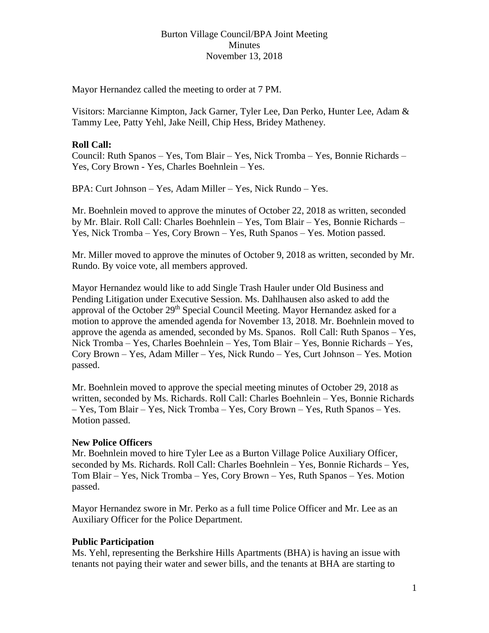### Burton Village Council/BPA Joint Meeting Minutes November 13, 2018

Mayor Hernandez called the meeting to order at 7 PM.

Visitors: Marcianne Kimpton, Jack Garner, Tyler Lee, Dan Perko, Hunter Lee, Adam & Tammy Lee, Patty Yehl, Jake Neill, Chip Hess, Bridey Matheney.

## **Roll Call:**

Council: Ruth Spanos – Yes, Tom Blair – Yes, Nick Tromba – Yes, Bonnie Richards – Yes, Cory Brown - Yes, Charles Boehnlein – Yes.

BPA: Curt Johnson – Yes, Adam Miller – Yes, Nick Rundo – Yes.

Mr. Boehnlein moved to approve the minutes of October 22, 2018 as written, seconded by Mr. Blair. Roll Call: Charles Boehnlein – Yes, Tom Blair – Yes, Bonnie Richards – Yes, Nick Tromba – Yes, Cory Brown – Yes, Ruth Spanos – Yes. Motion passed.

Mr. Miller moved to approve the minutes of October 9, 2018 as written, seconded by Mr. Rundo. By voice vote, all members approved.

Mayor Hernandez would like to add Single Trash Hauler under Old Business and Pending Litigation under Executive Session. Ms. Dahlhausen also asked to add the approval of the October 29<sup>th</sup> Special Council Meeting. Mayor Hernandez asked for a motion to approve the amended agenda for November 13, 2018. Mr. Boehnlein moved to approve the agenda as amended, seconded by Ms. Spanos. Roll Call: Ruth Spanos – Yes, Nick Tromba – Yes, Charles Boehnlein – Yes, Tom Blair – Yes, Bonnie Richards – Yes, Cory Brown – Yes, Adam Miller – Yes, Nick Rundo – Yes, Curt Johnson – Yes. Motion passed.

Mr. Boehnlein moved to approve the special meeting minutes of October 29, 2018 as written, seconded by Ms. Richards. Roll Call: Charles Boehnlein – Yes, Bonnie Richards – Yes, Tom Blair – Yes, Nick Tromba – Yes, Cory Brown – Yes, Ruth Spanos – Yes. Motion passed.

### **New Police Officers**

Mr. Boehnlein moved to hire Tyler Lee as a Burton Village Police Auxiliary Officer, seconded by Ms. Richards. Roll Call: Charles Boehnlein – Yes, Bonnie Richards – Yes, Tom Blair – Yes, Nick Tromba – Yes, Cory Brown – Yes, Ruth Spanos – Yes. Motion passed.

Mayor Hernandez swore in Mr. Perko as a full time Police Officer and Mr. Lee as an Auxiliary Officer for the Police Department.

### **Public Participation**

Ms. Yehl, representing the Berkshire Hills Apartments (BHA) is having an issue with tenants not paying their water and sewer bills, and the tenants at BHA are starting to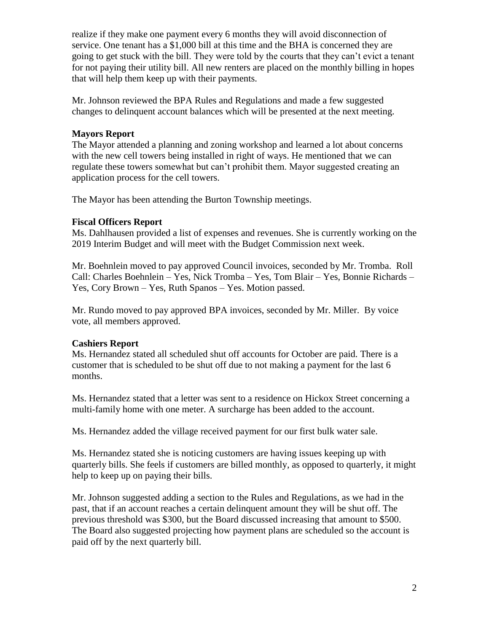realize if they make one payment every 6 months they will avoid disconnection of service. One tenant has a \$1,000 bill at this time and the BHA is concerned they are going to get stuck with the bill. They were told by the courts that they can't evict a tenant for not paying their utility bill. All new renters are placed on the monthly billing in hopes that will help them keep up with their payments.

Mr. Johnson reviewed the BPA Rules and Regulations and made a few suggested changes to delinquent account balances which will be presented at the next meeting.

## **Mayors Report**

The Mayor attended a planning and zoning workshop and learned a lot about concerns with the new cell towers being installed in right of ways. He mentioned that we can regulate these towers somewhat but can't prohibit them. Mayor suggested creating an application process for the cell towers.

The Mayor has been attending the Burton Township meetings.

# **Fiscal Officers Report**

Ms. Dahlhausen provided a list of expenses and revenues. She is currently working on the 2019 Interim Budget and will meet with the Budget Commission next week.

Mr. Boehnlein moved to pay approved Council invoices, seconded by Mr. Tromba. Roll Call: Charles Boehnlein – Yes, Nick Tromba – Yes, Tom Blair – Yes, Bonnie Richards – Yes, Cory Brown – Yes, Ruth Spanos – Yes. Motion passed.

Mr. Rundo moved to pay approved BPA invoices, seconded by Mr. Miller. By voice vote, all members approved.

# **Cashiers Report**

Ms. Hernandez stated all scheduled shut off accounts for October are paid. There is a customer that is scheduled to be shut off due to not making a payment for the last 6 months.

Ms. Hernandez stated that a letter was sent to a residence on Hickox Street concerning a multi-family home with one meter. A surcharge has been added to the account.

Ms. Hernandez added the village received payment for our first bulk water sale.

Ms. Hernandez stated she is noticing customers are having issues keeping up with quarterly bills. She feels if customers are billed monthly, as opposed to quarterly, it might help to keep up on paying their bills.

Mr. Johnson suggested adding a section to the Rules and Regulations, as we had in the past, that if an account reaches a certain delinquent amount they will be shut off. The previous threshold was \$300, but the Board discussed increasing that amount to \$500. The Board also suggested projecting how payment plans are scheduled so the account is paid off by the next quarterly bill.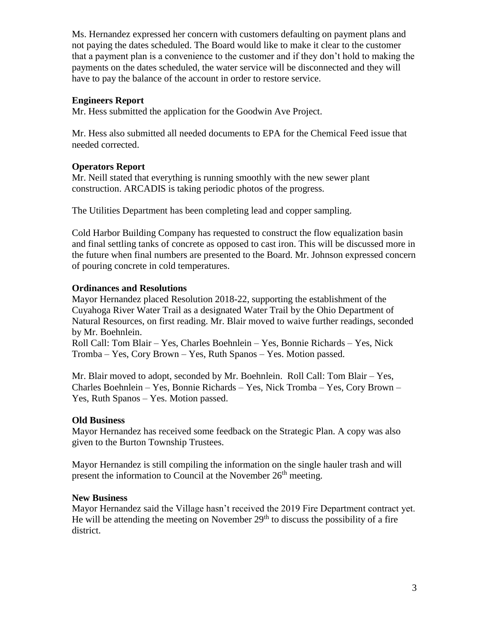Ms. Hernandez expressed her concern with customers defaulting on payment plans and not paying the dates scheduled. The Board would like to make it clear to the customer that a payment plan is a convenience to the customer and if they don't hold to making the payments on the dates scheduled, the water service will be disconnected and they will have to pay the balance of the account in order to restore service.

## **Engineers Report**

Mr. Hess submitted the application for the Goodwin Ave Project.

Mr. Hess also submitted all needed documents to EPA for the Chemical Feed issue that needed corrected.

## **Operators Report**

Mr. Neill stated that everything is running smoothly with the new sewer plant construction. ARCADIS is taking periodic photos of the progress.

The Utilities Department has been completing lead and copper sampling.

Cold Harbor Building Company has requested to construct the flow equalization basin and final settling tanks of concrete as opposed to cast iron. This will be discussed more in the future when final numbers are presented to the Board. Mr. Johnson expressed concern of pouring concrete in cold temperatures.

## **Ordinances and Resolutions**

Mayor Hernandez placed Resolution 2018-22, supporting the establishment of the Cuyahoga River Water Trail as a designated Water Trail by the Ohio Department of Natural Resources, on first reading. Mr. Blair moved to waive further readings, seconded by Mr. Boehnlein.

Roll Call: Tom Blair – Yes, Charles Boehnlein – Yes, Bonnie Richards – Yes, Nick Tromba – Yes, Cory Brown – Yes, Ruth Spanos – Yes. Motion passed.

Mr. Blair moved to adopt, seconded by Mr. Boehnlein. Roll Call: Tom Blair – Yes, Charles Boehnlein – Yes, Bonnie Richards – Yes, Nick Tromba – Yes, Cory Brown – Yes, Ruth Spanos – Yes. Motion passed.

# **Old Business**

Mayor Hernandez has received some feedback on the Strategic Plan. A copy was also given to the Burton Township Trustees.

Mayor Hernandez is still compiling the information on the single hauler trash and will present the information to Council at the November 26<sup>th</sup> meeting.

### **New Business**

Mayor Hernandez said the Village hasn't received the 2019 Fire Department contract yet. He will be attending the meeting on November  $29<sup>th</sup>$  to discuss the possibility of a fire district.